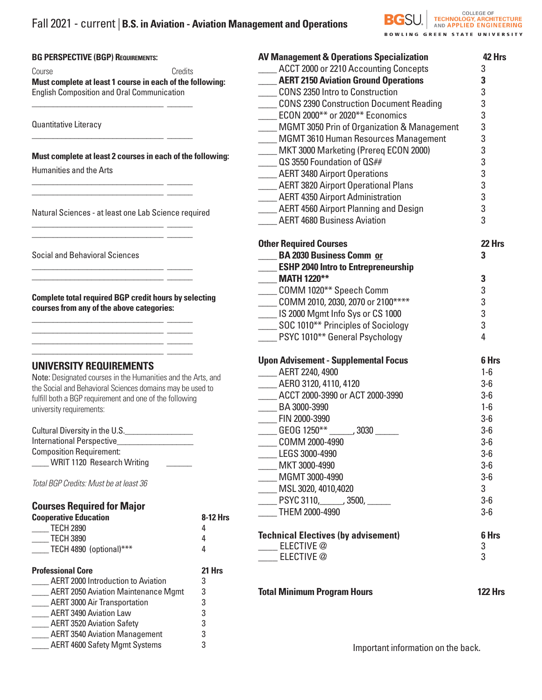#### **BG PERSPECTIVE (BGP) REQUIREMENTS:**

Course **Course** Credits **Must complete at least 1 course in each of the following:**  English Composition and Oral Communication

\_\_\_\_\_\_\_\_\_\_\_\_\_\_\_\_\_\_\_\_\_\_\_\_\_\_\_\_\_\_\_ \_\_\_\_\_\_

\_\_\_\_\_\_\_\_\_\_\_\_\_\_\_\_\_\_\_\_\_\_\_\_\_\_\_\_\_\_\_ \_\_\_\_\_\_

\_\_\_\_\_\_\_\_\_\_\_\_\_\_\_\_\_\_\_\_\_\_\_\_\_\_\_\_\_\_\_ \_\_\_\_\_\_ \_\_\_\_\_\_\_\_\_\_\_\_\_\_\_\_\_\_\_\_\_\_\_\_\_\_\_\_\_\_\_ \_\_\_\_\_\_

Quantitative Literacy

### **Must complete at least 2 courses in each of the following:**

Humanities and the Arts

Natural Sciences - at least one Lab Science required

 $\overline{\phantom{a}}$  , and the set of the set of the set of the set of the set of the set of the set of the set of the set of the set of the set of the set of the set of the set of the set of the set of the set of the set of the s

\_\_\_\_\_\_\_\_\_\_\_\_\_\_\_\_\_\_\_\_\_\_\_\_\_\_\_\_\_\_\_ \_\_\_\_\_\_ \_\_\_\_\_\_\_\_\_\_\_\_\_\_\_\_\_\_\_\_\_\_\_\_\_\_\_\_\_\_\_ \_\_\_\_\_\_

 $\overline{\phantom{a}}$ 

Social and Behavioral Sciences

**Complete total required BGP credit hours by selecting courses from any of the above categories:**

 $\frac{1}{\sqrt{2}}$  ,  $\frac{1}{\sqrt{2}}$  ,  $\frac{1}{\sqrt{2}}$  ,  $\frac{1}{\sqrt{2}}$  ,  $\frac{1}{\sqrt{2}}$  ,  $\frac{1}{\sqrt{2}}$  ,  $\frac{1}{\sqrt{2}}$  ,  $\frac{1}{\sqrt{2}}$  ,  $\frac{1}{\sqrt{2}}$  ,  $\frac{1}{\sqrt{2}}$  ,  $\frac{1}{\sqrt{2}}$  ,  $\frac{1}{\sqrt{2}}$  ,  $\frac{1}{\sqrt{2}}$  ,  $\frac{1}{\sqrt{2}}$  ,  $\frac{1}{\sqrt{2}}$ \_\_\_\_\_\_\_\_\_\_\_\_\_\_\_\_\_\_\_\_\_\_\_\_\_\_\_\_\_\_\_ \_\_\_\_\_\_ \_\_\_\_\_\_\_\_\_\_\_\_\_\_\_\_\_\_\_\_\_\_\_\_\_\_\_\_\_\_\_ \_\_\_\_\_\_

 $\overline{\phantom{a}}$  , and the set of the set of the set of the set of the set of the set of the set of the set of the set of the set of the set of the set of the set of the set of the set of the set of the set of the set of the s

# **UNIVERSITY REQUIREMENTS**

Note: Designated courses in the Humanities and the Arts, and the Social and Behavioral Sciences domains may be used to fulfill both a BGP requirement and one of the following university requirements:

| Cultural Diversity in the U.S.    |  |
|-----------------------------------|--|
| International Perspective         |  |
| <b>Composition Requirement:</b>   |  |
| <b>WRIT 1120 Research Writing</b> |  |

*Total BGP Credits: Must be at least 36*

# **Courses Required for Major**

| <b>Cooperative Education</b> | 8-12 Hrs |
|------------------------------|----------|
| <b>TECH 2890</b>             |          |
| <b>TECH 3890</b>             |          |
| TECH 4890 (optional)***      |          |
|                              |          |

AERT 3520 Aviation Safety 3 AERT 3540 Aviation Management 3 \_\_\_\_ AERT 4600 Safety Mgmt Systems 3

| <b>Professional Core</b>                   | 21 Hrs |
|--------------------------------------------|--------|
| <b>AERT 2000 Introduction to Aviation</b>  | 3      |
| <b>AERT 2050 Aviation Maintenance Mgmt</b> | 3      |
| <b>AERT 3000 Air Transportation</b>        | -3     |
| <b>AERT 3490 Aviation Law</b>              | 3      |

| ement and Operations                                            | <b>BGSL</b> |                    | <b>COLLEGE OF</b><br><b>HNOLOGY, ARCHITEC</b> |
|-----------------------------------------------------------------|-------------|--------------------|-----------------------------------------------|
|                                                                 |             | <b>GREEN STATE</b> |                                               |
| <b>AV Management &amp; Operations Specialization</b>            |             |                    | 42 Hrs                                        |
| ACCT 2000 or 2210 Accounting Concepts                           |             |                    | 3                                             |
| <b>AERT 2150 Aviation Ground Operations</b>                     |             |                    | 3                                             |
| <b>CONS 2350 Intro to Construction</b>                          |             |                    | 3                                             |
| <b>CONS 2390 Construction Document Reading</b>                  |             |                    | 3                                             |
| ECON 2000** or 2020** Economics                                 |             |                    | 3                                             |
| MGMT 3050 Prin of Organization & Management                     |             |                    | 3<br>3                                        |
| <b>MGMT 3610 Human Resources Management</b>                     |             |                    |                                               |
| MKT 3000 Marketing (Prereg ECON 2000)                           |             |                    | 3                                             |
| QS 3550 Foundation of QS##                                      |             |                    | 3                                             |
| <b>AERT 3480 Airport Operations</b>                             |             |                    | $\frac{3}{3}$                                 |
| <b>AERT 3820 Airport Operational Plans</b>                      |             |                    |                                               |
| <b>AERT 4350 Airport Administration</b>                         |             |                    | 3                                             |
| <b>AERT 4560 Airport Planning and Design</b>                    |             |                    | 3                                             |
| <b>AERT 4680 Business Aviation</b>                              |             |                    | 3                                             |
| <b>Other Required Courses</b>                                   |             |                    | 22 Hrs                                        |
| <b>BA 2030 Business Comm or</b>                                 |             |                    | 3                                             |
| <b>ESHP 2040 Intro to Entrepreneurship</b>                      |             |                    |                                               |
| <b>MATH 1220**</b>                                              |             |                    | 3                                             |
| COMM 1020** Speech Comm                                         |             |                    | 3                                             |
| COMM 2010, 2030, 2070 or 2100****                               |             |                    | 3                                             |
| IS 2000 Mgmt Info Sys or CS 1000                                |             |                    | 3                                             |
| SOC 1010** Principles of Sociology                              |             |                    | 3                                             |
| PSYC 1010** General Psychology                                  |             |                    | 4                                             |
| <b>Upon Advisement - Supplemental Focus</b>                     |             |                    | 6 Hrs                                         |
| AERT 2240, 4900                                                 |             |                    | $1-6$                                         |
| AERO 3120, 4110, 4120                                           |             |                    | $3-6$                                         |
| ACCT 2000-3990 or ACT 2000-3990                                 |             |                    | $3-6$                                         |
| BA 3000-3990                                                    |             |                    | $1-6$                                         |
| FIN 2000-3990                                                   |             |                    | $3-6$                                         |
| GEOG 1250** ______, 3030 ______                                 |             |                    | $3-6$                                         |
| COMM 2000-4990                                                  |             |                    | $3-6$                                         |
| LEGS 3000-4990                                                  |             |                    | $3-6$                                         |
| MKT 3000-4990                                                   |             |                    | $3-6$                                         |
| MGMT 3000-4990                                                  |             |                    | $3-6$                                         |
| MSL 3020, 4010,4020                                             |             |                    | 3                                             |
| PSYC 3110, 3500, RSYC 3110,                                     |             |                    | $3-6$                                         |
| THEM 2000-4990                                                  |             |                    | $3-6$                                         |
|                                                                 |             |                    |                                               |
| <b>Technical Electives (by advisement)</b><br><b>ELECTIVE</b> @ |             |                    | 6 Hrs<br>3                                    |
| <b>ELECTIVE</b> @                                               |             |                    | 3                                             |
|                                                                 |             |                    |                                               |

**Total Minimum Program Hours 122 Hrs**

Important information on the back.